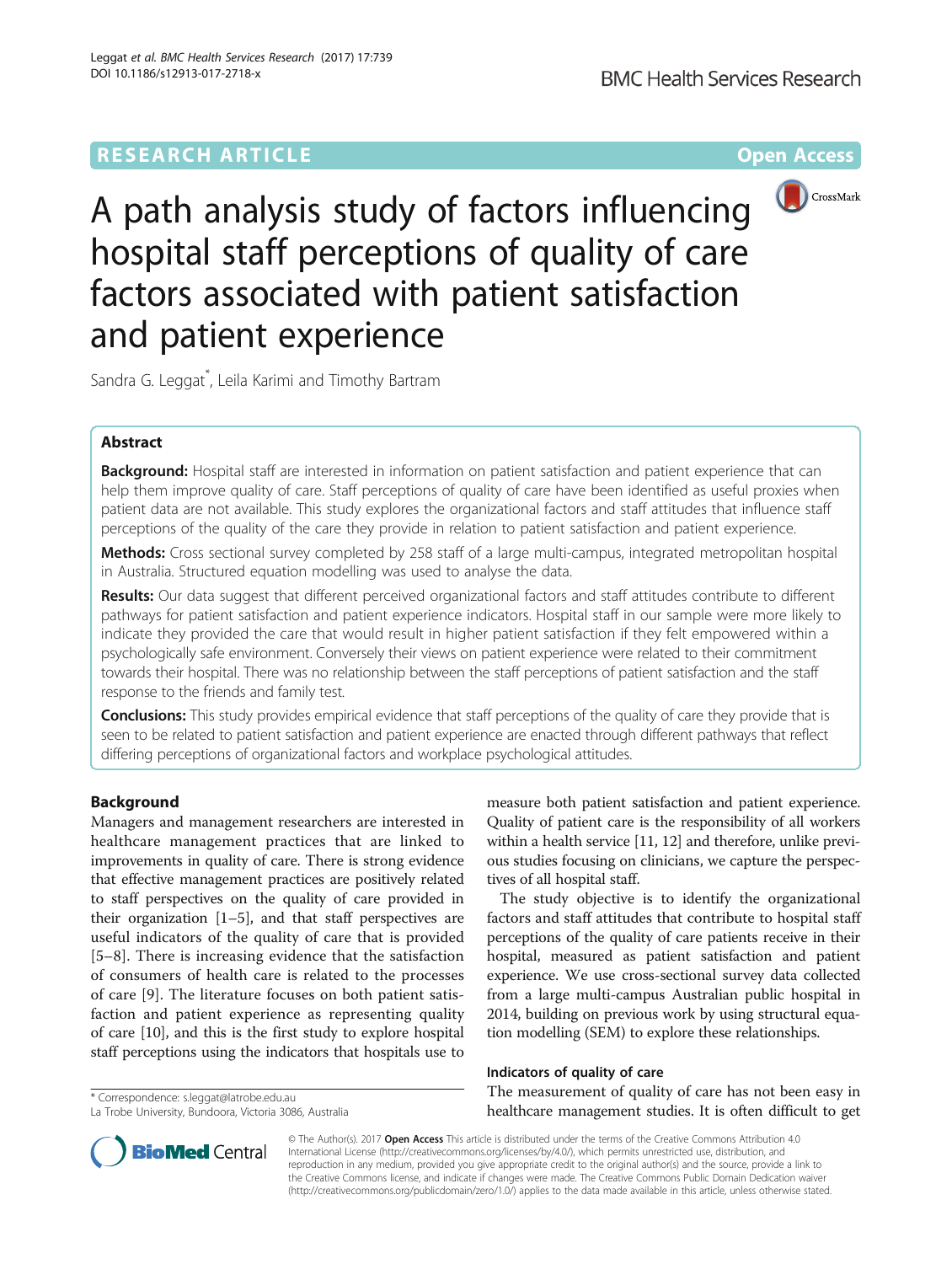# **RESEARCH ARTICLE Example 2014 12:30 The Contract of Contract ACCESS**



A path analysis study of factors influencing hospital staff perceptions of quality of care factors associated with patient satisfaction and patient experience

Sandra G. Leggat<sup>\*</sup>, Leila Karimi and Timothy Bartram

## Abstract

Background: Hospital staff are interested in information on patient satisfaction and patient experience that can help them improve quality of care. Staff perceptions of quality of care have been identified as useful proxies when patient data are not available. This study explores the organizational factors and staff attitudes that influence staff perceptions of the quality of the care they provide in relation to patient satisfaction and patient experience.

Methods: Cross sectional survey completed by 258 staff of a large multi-campus, integrated metropolitan hospital in Australia. Structured equation modelling was used to analyse the data.

Results: Our data suggest that different perceived organizational factors and staff attitudes contribute to different pathways for patient satisfaction and patient experience indicators. Hospital staff in our sample were more likely to indicate they provided the care that would result in higher patient satisfaction if they felt empowered within a psychologically safe environment. Conversely their views on patient experience were related to their commitment towards their hospital. There was no relationship between the staff perceptions of patient satisfaction and the staff response to the friends and family test.

**Conclusions:** This study provides empirical evidence that staff perceptions of the quality of care they provide that is seen to be related to patient satisfaction and patient experience are enacted through different pathways that reflect differing perceptions of organizational factors and workplace psychological attitudes.

## Background

Managers and management researchers are interested in healthcare management practices that are linked to improvements in quality of care. There is strong evidence that effective management practices are positively related to staff perspectives on the quality of care provided in their organization [[1](#page-6-0)–[5](#page-7-0)], and that staff perspectives are useful indicators of the quality of care that is provided [[5](#page-7-0)–[8\]](#page-7-0). There is increasing evidence that the satisfaction of consumers of health care is related to the processes of care [[9\]](#page-7-0). The literature focuses on both patient satisfaction and patient experience as representing quality of care [[10\]](#page-7-0), and this is the first study to explore hospital staff perceptions using the indicators that hospitals use to

\* Correspondence: [s.leggat@latrobe.edu.au](mailto:s.leggat@latrobe.edu.au)

La Trobe University, Bundoora, Victoria 3086, Australia

measure both patient satisfaction and patient experience. Quality of patient care is the responsibility of all workers within a health service [[11, 12\]](#page-7-0) and therefore, unlike previous studies focusing on clinicians, we capture the perspectives of all hospital staff.

The study objective is to identify the organizational factors and staff attitudes that contribute to hospital staff perceptions of the quality of care patients receive in their hospital, measured as patient satisfaction and patient experience. We use cross-sectional survey data collected from a large multi-campus Australian public hospital in 2014, building on previous work by using structural equation modelling (SEM) to explore these relationships.

### Indicators of quality of care

The measurement of quality of care has not been easy in healthcare management studies. It is often difficult to get



© The Author(s). 2017 Open Access This article is distributed under the terms of the Creative Commons Attribution 4.0 International License [\(http://creativecommons.org/licenses/by/4.0/](http://creativecommons.org/licenses/by/4.0/)), which permits unrestricted use, distribution, and reproduction in any medium, provided you give appropriate credit to the original author(s) and the source, provide a link to the Creative Commons license, and indicate if changes were made. The Creative Commons Public Domain Dedication waiver [\(http://creativecommons.org/publicdomain/zero/1.0/](http://creativecommons.org/publicdomain/zero/1.0/)) applies to the data made available in this article, unless otherwise stated.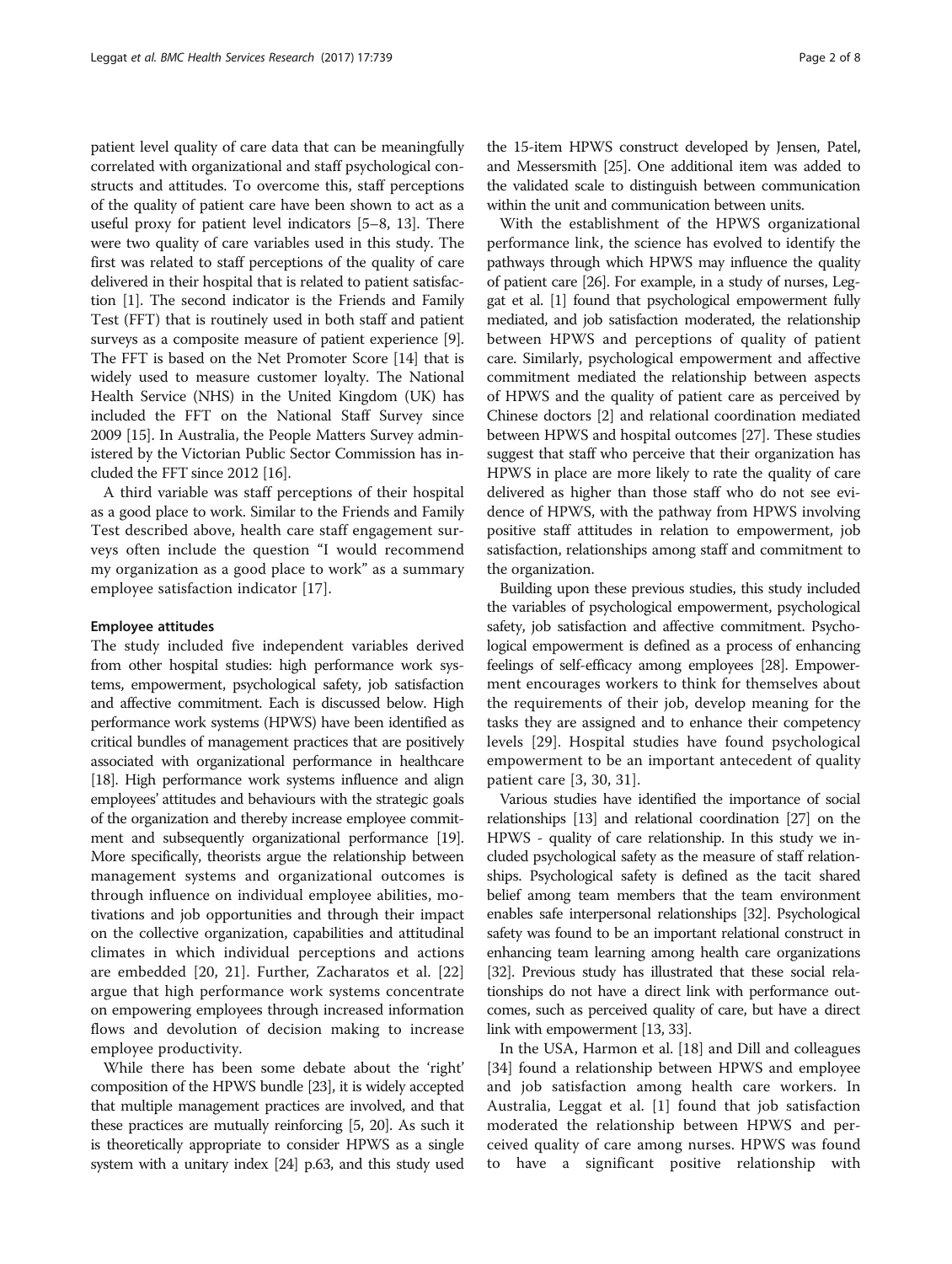patient level quality of care data that can be meaningfully correlated with organizational and staff psychological constructs and attitudes. To overcome this, staff perceptions of the quality of patient care have been shown to act as a useful proxy for patient level indicators [\[5](#page-7-0)–[8](#page-7-0), [13\]](#page-7-0). There were two quality of care variables used in this study. The first was related to staff perceptions of the quality of care delivered in their hospital that is related to patient satisfaction [[1](#page-6-0)]. The second indicator is the Friends and Family Test (FFT) that is routinely used in both staff and patient surveys as a composite measure of patient experience [[9](#page-7-0)]. The FFT is based on the Net Promoter Score [\[14\]](#page-7-0) that is widely used to measure customer loyalty. The National Health Service (NHS) in the United Kingdom (UK) has included the FFT on the National Staff Survey since 2009 [\[15\]](#page-7-0). In Australia, the People Matters Survey administered by the Victorian Public Sector Commission has included the FFT since 2012 [\[16\]](#page-7-0).

A third variable was staff perceptions of their hospital as a good place to work. Similar to the Friends and Family Test described above, health care staff engagement surveys often include the question "I would recommend my organization as a good place to work" as a summary employee satisfaction indicator [\[17](#page-7-0)].

#### Employee attitudes

The study included five independent variables derived from other hospital studies: high performance work systems, empowerment, psychological safety, job satisfaction and affective commitment. Each is discussed below. High performance work systems (HPWS) have been identified as critical bundles of management practices that are positively associated with organizational performance in healthcare [[18](#page-7-0)]. High performance work systems influence and align employees' attitudes and behaviours with the strategic goals of the organization and thereby increase employee commitment and subsequently organizational performance [\[19](#page-7-0)]. More specifically, theorists argue the relationship between management systems and organizational outcomes is through influence on individual employee abilities, motivations and job opportunities and through their impact on the collective organization, capabilities and attitudinal climates in which individual perceptions and actions are embedded [\[20](#page-7-0), [21\]](#page-7-0). Further, Zacharatos et al. [\[22](#page-7-0)] argue that high performance work systems concentrate on empowering employees through increased information flows and devolution of decision making to increase employee productivity.

While there has been some debate about the 'right' composition of the HPWS bundle [\[23\]](#page-7-0), it is widely accepted that multiple management practices are involved, and that these practices are mutually reinforcing [\[5, 20\]](#page-7-0). As such it is theoretically appropriate to consider HPWS as a single system with a unitary index [\[24\]](#page-7-0) p.63, and this study used

the 15-item HPWS construct developed by Jensen, Patel, and Messersmith [\[25\]](#page-7-0). One additional item was added to the validated scale to distinguish between communication within the unit and communication between units.

With the establishment of the HPWS organizational performance link, the science has evolved to identify the pathways through which HPWS may influence the quality of patient care [\[26\]](#page-7-0). For example, in a study of nurses, Leggat et al. [\[1\]](#page-6-0) found that psychological empowerment fully mediated, and job satisfaction moderated, the relationship between HPWS and perceptions of quality of patient care. Similarly, psychological empowerment and affective commitment mediated the relationship between aspects of HPWS and the quality of patient care as perceived by Chinese doctors [[2](#page-6-0)] and relational coordination mediated between HPWS and hospital outcomes [[27\]](#page-7-0). These studies suggest that staff who perceive that their organization has HPWS in place are more likely to rate the quality of care delivered as higher than those staff who do not see evidence of HPWS, with the pathway from HPWS involving positive staff attitudes in relation to empowerment, job satisfaction, relationships among staff and commitment to the organization.

Building upon these previous studies, this study included the variables of psychological empowerment, psychological safety, job satisfaction and affective commitment. Psychological empowerment is defined as a process of enhancing feelings of self-efficacy among employees [[28](#page-7-0)]. Empowerment encourages workers to think for themselves about the requirements of their job, develop meaning for the tasks they are assigned and to enhance their competency levels [[29\]](#page-7-0). Hospital studies have found psychological empowerment to be an important antecedent of quality patient care [[3](#page-6-0), [30](#page-7-0), [31](#page-7-0)].

Various studies have identified the importance of social relationships [[13\]](#page-7-0) and relational coordination [\[27](#page-7-0)] on the HPWS - quality of care relationship. In this study we included psychological safety as the measure of staff relationships. Psychological safety is defined as the tacit shared belief among team members that the team environment enables safe interpersonal relationships [\[32](#page-7-0)]. Psychological safety was found to be an important relational construct in enhancing team learning among health care organizations [[32](#page-7-0)]. Previous study has illustrated that these social relationships do not have a direct link with performance outcomes, such as perceived quality of care, but have a direct link with empowerment [\[13, 33\]](#page-7-0).

In the USA, Harmon et al. [\[18](#page-7-0)] and Dill and colleagues [[34\]](#page-7-0) found a relationship between HPWS and employee and job satisfaction among health care workers. In Australia, Leggat et al. [\[1](#page-6-0)] found that job satisfaction moderated the relationship between HPWS and perceived quality of care among nurses. HPWS was found to have a significant positive relationship with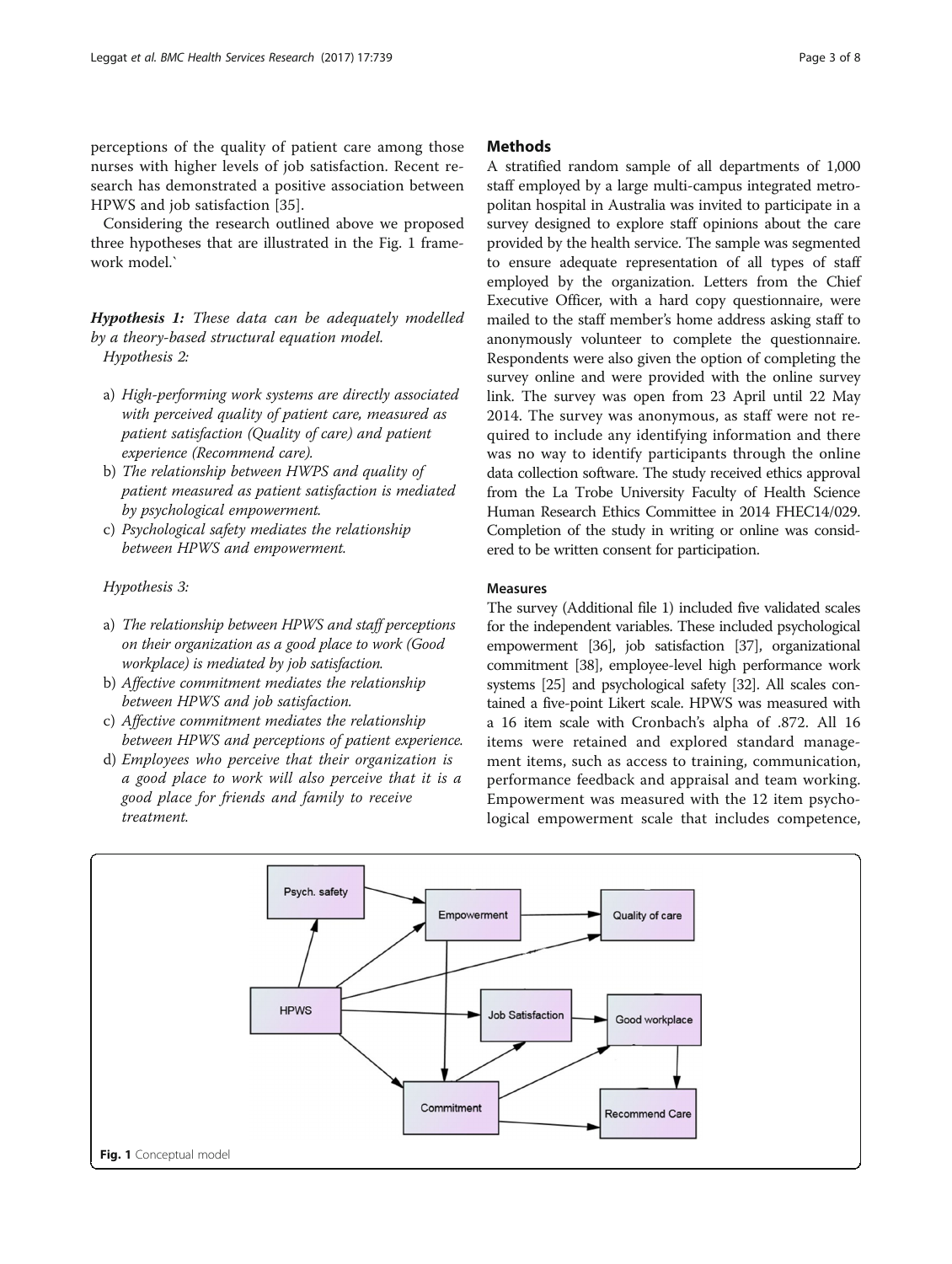perceptions of the quality of patient care among those nurses with higher levels of job satisfaction. Recent research has demonstrated a positive association between HPWS and job satisfaction [[35](#page-7-0)].

Considering the research outlined above we proposed three hypotheses that are illustrated in the Fig. 1 framework model.`

Hypothesis 1: These data can be adequately modelled by a theory-based structural equation model. Hypothesis 2:

- a) High-performing work systems are directly associated with perceived quality of patient care, measured as patient satisfaction (Quality of care) and patient experience (Recommend care).
- b) The relationship between HWPS and quality of patient measured as patient satisfaction is mediated by psychological empowerment.
- c) Psychological safety mediates the relationship between HPWS and empowerment.

### Hypothesis 3:

- a) The relationship between HPWS and staff perceptions on their organization as a good place to work (Good workplace) is mediated by job satisfaction.
- b) Affective commitment mediates the relationship between HPWS and job satisfaction.
- c) Affective commitment mediates the relationship between HPWS and perceptions of patient experience.
- d) Employees who perceive that their organization is a good place to work will also perceive that it is a good place for friends and family to receive treatment.

### **Methods**

A stratified random sample of all departments of 1,000 staff employed by a large multi-campus integrated metropolitan hospital in Australia was invited to participate in a survey designed to explore staff opinions about the care provided by the health service. The sample was segmented to ensure adequate representation of all types of staff employed by the organization. Letters from the Chief Executive Officer, with a hard copy questionnaire, were mailed to the staff member's home address asking staff to anonymously volunteer to complete the questionnaire. Respondents were also given the option of completing the survey online and were provided with the online survey link. The survey was open from 23 April until 22 May 2014. The survey was anonymous, as staff were not required to include any identifying information and there was no way to identify participants through the online data collection software. The study received ethics approval from the La Trobe University Faculty of Health Science Human Research Ethics Committee in 2014 FHEC14/029. Completion of the study in writing or online was considered to be written consent for participation.

### Measures

The survey (Additional file [1\)](#page-6-0) included five validated scales for the independent variables. These included psychological empowerment [\[36](#page-7-0)], job satisfaction [[37\]](#page-7-0), organizational commitment [[38](#page-7-0)], employee-level high performance work systems [[25](#page-7-0)] and psychological safety [\[32](#page-7-0)]. All scales contained a five-point Likert scale. HPWS was measured with a 16 item scale with Cronbach's alpha of .872. All 16 items were retained and explored standard management items, such as access to training, communication, performance feedback and appraisal and team working. Empowerment was measured with the 12 item psychological empowerment scale that includes competence,

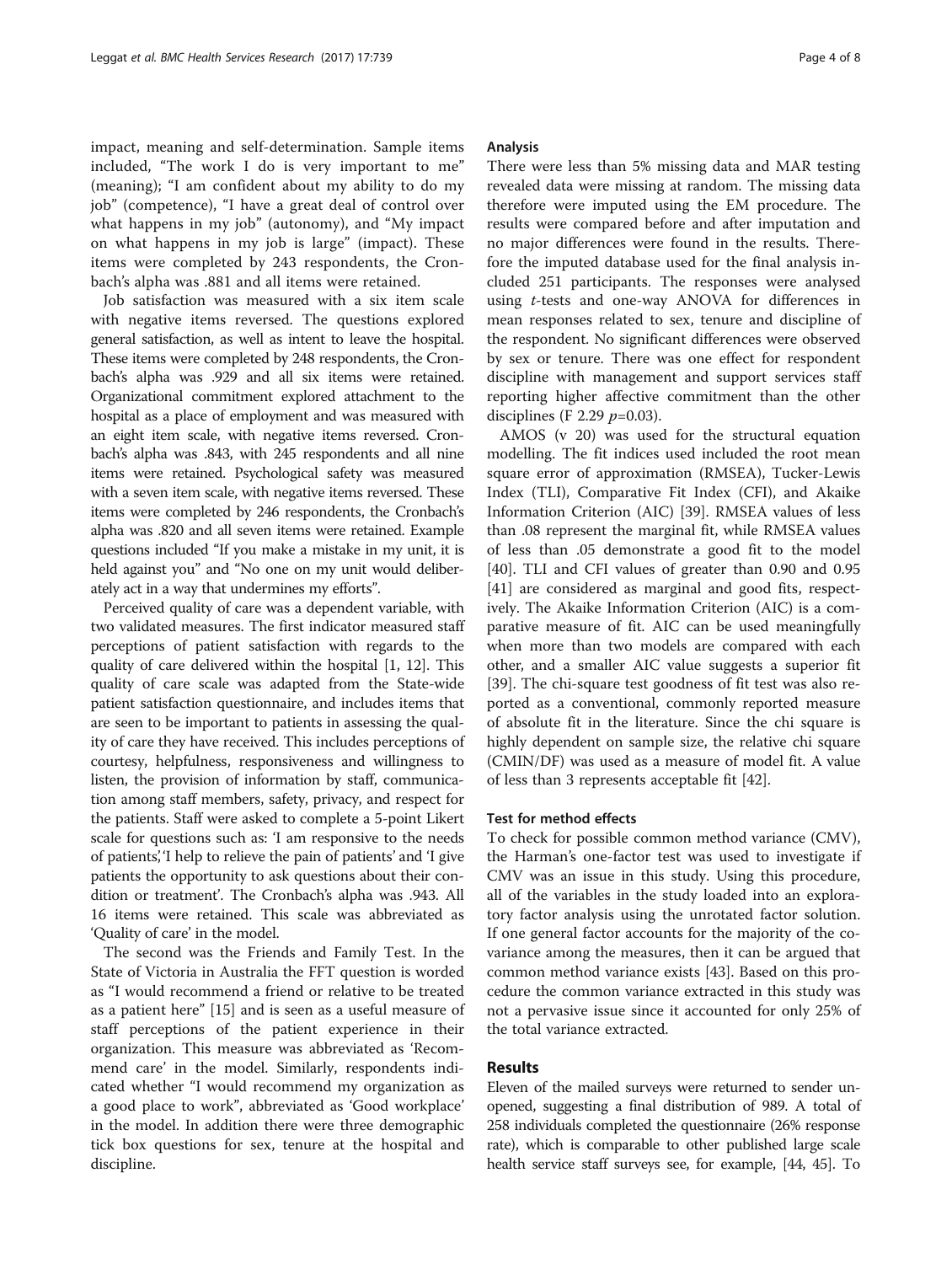impact, meaning and self-determination. Sample items included, "The work I do is very important to me" (meaning); "I am confident about my ability to do my job" (competence), "I have a great deal of control over what happens in my job" (autonomy), and "My impact on what happens in my job is large" (impact). These items were completed by 243 respondents, the Cronbach's alpha was .881 and all items were retained.

Job satisfaction was measured with a six item scale with negative items reversed. The questions explored general satisfaction, as well as intent to leave the hospital. These items were completed by 248 respondents, the Cronbach's alpha was .929 and all six items were retained. Organizational commitment explored attachment to the hospital as a place of employment and was measured with an eight item scale, with negative items reversed. Cronbach's alpha was .843, with 245 respondents and all nine items were retained. Psychological safety was measured with a seven item scale, with negative items reversed. These items were completed by 246 respondents, the Cronbach's alpha was .820 and all seven items were retained. Example questions included "If you make a mistake in my unit, it is held against you" and "No one on my unit would deliberately act in a way that undermines my efforts".

Perceived quality of care was a dependent variable, with two validated measures. The first indicator measured staff perceptions of patient satisfaction with regards to the quality of care delivered within the hospital [\[1](#page-6-0), [12\]](#page-7-0). This quality of care scale was adapted from the State-wide patient satisfaction questionnaire, and includes items that are seen to be important to patients in assessing the quality of care they have received. This includes perceptions of courtesy, helpfulness, responsiveness and willingness to listen, the provision of information by staff, communication among staff members, safety, privacy, and respect for the patients. Staff were asked to complete a 5-point Likert scale for questions such as: 'I am responsive to the needs of patients', 'I help to relieve the pain of patients' and 'I give patients the opportunity to ask questions about their condition or treatment'. The Cronbach's alpha was .943. All 16 items were retained. This scale was abbreviated as 'Quality of care' in the model.

The second was the Friends and Family Test. In the State of Victoria in Australia the FFT question is worded as "I would recommend a friend or relative to be treated as a patient here" [[15](#page-7-0)] and is seen as a useful measure of staff perceptions of the patient experience in their organization. This measure was abbreviated as 'Recommend care' in the model. Similarly, respondents indicated whether "I would recommend my organization as a good place to work", abbreviated as 'Good workplace' in the model. In addition there were three demographic tick box questions for sex, tenure at the hospital and discipline.

#### Analysis

There were less than 5% missing data and MAR testing revealed data were missing at random. The missing data therefore were imputed using the EM procedure. The results were compared before and after imputation and no major differences were found in the results. Therefore the imputed database used for the final analysis included 251 participants. The responses were analysed using t-tests and one-way ANOVA for differences in mean responses related to sex, tenure and discipline of the respondent. No significant differences were observed by sex or tenure. There was one effect for respondent discipline with management and support services staff reporting higher affective commitment than the other disciplines (F 2.29  $p=0.03$ ).

AMOS (v 20) was used for the structural equation modelling. The fit indices used included the root mean square error of approximation (RMSEA), Tucker-Lewis Index (TLI), Comparative Fit Index (CFI), and Akaike Information Criterion (AIC) [[39\]](#page-7-0). RMSEA values of less than .08 represent the marginal fit, while RMSEA values of less than .05 demonstrate a good fit to the model [[40\]](#page-7-0). TLI and CFI values of greater than 0.90 and 0.95 [[41\]](#page-7-0) are considered as marginal and good fits, respectively. The Akaike Information Criterion (AIC) is a comparative measure of fit. AIC can be used meaningfully when more than two models are compared with each other, and a smaller AIC value suggests a superior fit [[39\]](#page-7-0). The chi-square test goodness of fit test was also reported as a conventional, commonly reported measure of absolute fit in the literature. Since the chi square is highly dependent on sample size, the relative chi square (CMIN/DF) was used as a measure of model fit. A value of less than 3 represents acceptable fit [\[42](#page-7-0)].

### Test for method effects

To check for possible common method variance (CMV), the Harman's one-factor test was used to investigate if CMV was an issue in this study. Using this procedure, all of the variables in the study loaded into an exploratory factor analysis using the unrotated factor solution. If one general factor accounts for the majority of the covariance among the measures, then it can be argued that common method variance exists [\[43](#page-7-0)]. Based on this procedure the common variance extracted in this study was not a pervasive issue since it accounted for only 25% of the total variance extracted.

### Results

Eleven of the mailed surveys were returned to sender unopened, suggesting a final distribution of 989. A total of 258 individuals completed the questionnaire (26% response rate), which is comparable to other published large scale health service staff surveys see, for example, [[44](#page-7-0), [45\]](#page-7-0). To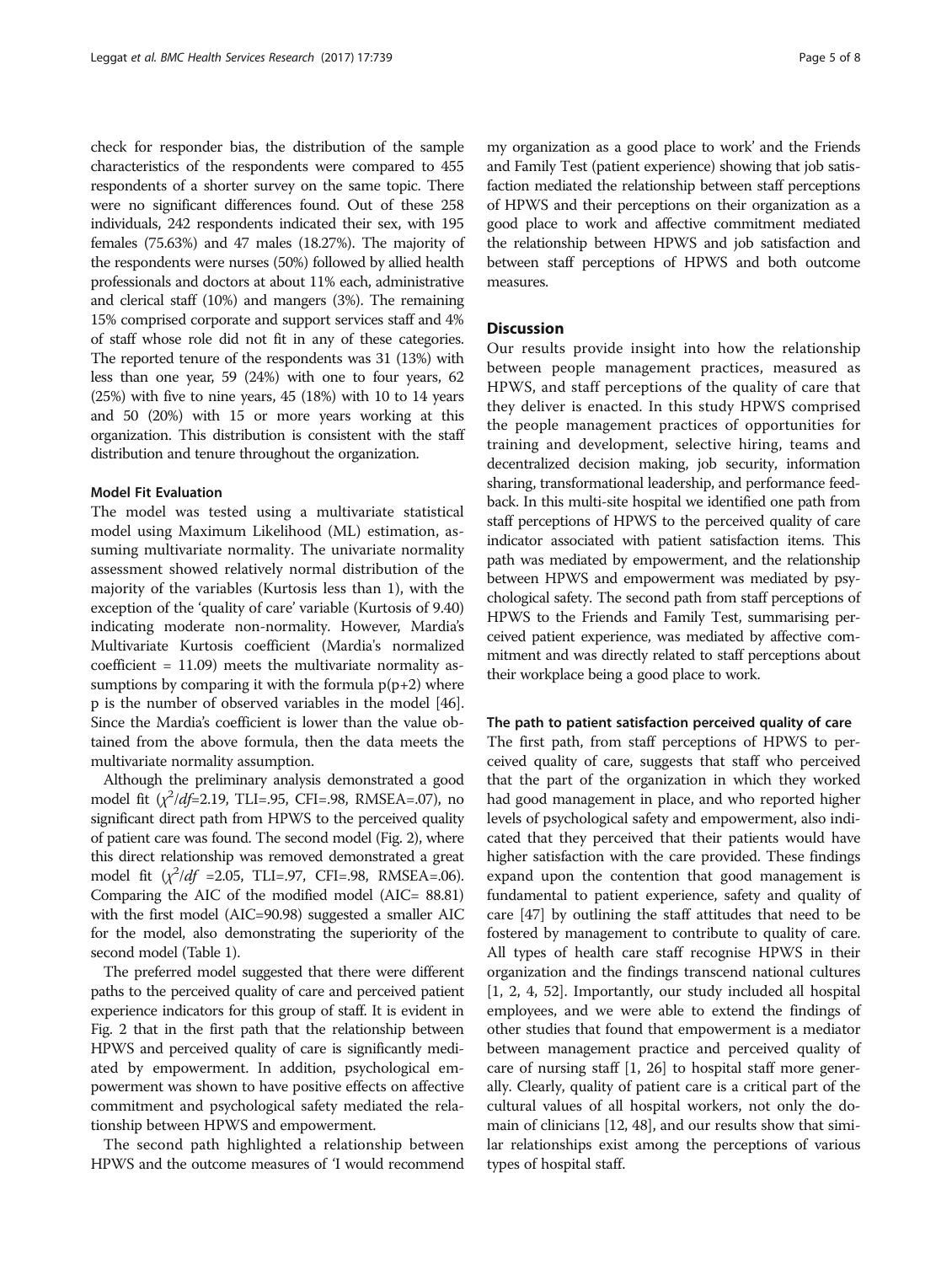check for responder bias, the distribution of the sample characteristics of the respondents were compared to 455 respondents of a shorter survey on the same topic. There were no significant differences found. Out of these 258 individuals, 242 respondents indicated their sex, with 195 females (75.63%) and 47 males (18.27%). The majority of the respondents were nurses (50%) followed by allied health professionals and doctors at about 11% each, administrative and clerical staff (10%) and mangers (3%). The remaining 15% comprised corporate and support services staff and 4% of staff whose role did not fit in any of these categories. The reported tenure of the respondents was 31 (13%) with less than one year, 59 (24%) with one to four years, 62 (25%) with five to nine years, 45 (18%) with 10 to 14 years and 50 (20%) with 15 or more years working at this organization. This distribution is consistent with the staff distribution and tenure throughout the organization.

#### Model Fit Evaluation

The model was tested using a multivariate statistical model using Maximum Likelihood (ML) estimation, assuming multivariate normality. The univariate normality assessment showed relatively normal distribution of the majority of the variables (Kurtosis less than 1), with the exception of the 'quality of care' variable (Kurtosis of 9.40) indicating moderate non-normality. However, Mardia's Multivariate Kurtosis coefficient (Mardia's normalized coefficient  $= 11.09$ ) meets the multivariate normality assumptions by comparing it with the formula  $p(p+2)$  where p is the number of observed variables in the model [[46](#page-7-0)]. Since the Mardia's coefficient is lower than the value obtained from the above formula, then the data meets the multivariate normality assumption.

Although the preliminary analysis demonstrated a good model fit  $(\chi^2/df=2.19, \text{TLI} = .95, \text{CFI} = .98, \text{RMSEA} = .07)$ , no significant direct path from HPWS to the perceived quality of patient care was found. The second model (Fig. [2](#page-5-0)), where this direct relationship was removed demonstrated a great model fit  $(\chi^2/df = 2.05, \text{TLI} = .97, \text{CFI} = .98, \text{RMSEA} = .06)$ . Comparing the AIC of the modified model (AIC= 88.81) with the first model (AIC=90.98) suggested a smaller AIC for the model, also demonstrating the superiority of the second model (Table [1](#page-5-0)).

The preferred model suggested that there were different paths to the perceived quality of care and perceived patient experience indicators for this group of staff. It is evident in Fig. [2](#page-5-0) that in the first path that the relationship between HPWS and perceived quality of care is significantly mediated by empowerment. In addition, psychological empowerment was shown to have positive effects on affective commitment and psychological safety mediated the relationship between HPWS and empowerment.

The second path highlighted a relationship between HPWS and the outcome measures of 'I would recommend my organization as a good place to work' and the Friends and Family Test (patient experience) showing that job satisfaction mediated the relationship between staff perceptions of HPWS and their perceptions on their organization as a good place to work and affective commitment mediated the relationship between HPWS and job satisfaction and between staff perceptions of HPWS and both outcome measures.

### **Discussion**

Our results provide insight into how the relationship between people management practices, measured as HPWS, and staff perceptions of the quality of care that they deliver is enacted. In this study HPWS comprised the people management practices of opportunities for training and development, selective hiring, teams and decentralized decision making, job security, information sharing, transformational leadership, and performance feedback. In this multi-site hospital we identified one path from staff perceptions of HPWS to the perceived quality of care indicator associated with patient satisfaction items. This path was mediated by empowerment, and the relationship between HPWS and empowerment was mediated by psychological safety. The second path from staff perceptions of HPWS to the Friends and Family Test, summarising perceived patient experience, was mediated by affective commitment and was directly related to staff perceptions about their workplace being a good place to work.

### The path to patient satisfaction perceived quality of care

The first path, from staff perceptions of HPWS to perceived quality of care, suggests that staff who perceived that the part of the organization in which they worked had good management in place, and who reported higher levels of psychological safety and empowerment, also indicated that they perceived that their patients would have higher satisfaction with the care provided. These findings expand upon the contention that good management is fundamental to patient experience, safety and quality of care [\[47](#page-7-0)] by outlining the staff attitudes that need to be fostered by management to contribute to quality of care. All types of health care staff recognise HPWS in their organization and the findings transcend national cultures [[1, 2](#page-6-0), [4](#page-6-0), [52\]](#page-7-0). Importantly, our study included all hospital employees, and we were able to extend the findings of other studies that found that empowerment is a mediator between management practice and perceived quality of care of nursing staff [[1,](#page-6-0) [26](#page-7-0)] to hospital staff more generally. Clearly, quality of patient care is a critical part of the cultural values of all hospital workers, not only the domain of clinicians [\[12, 48](#page-7-0)], and our results show that similar relationships exist among the perceptions of various types of hospital staff.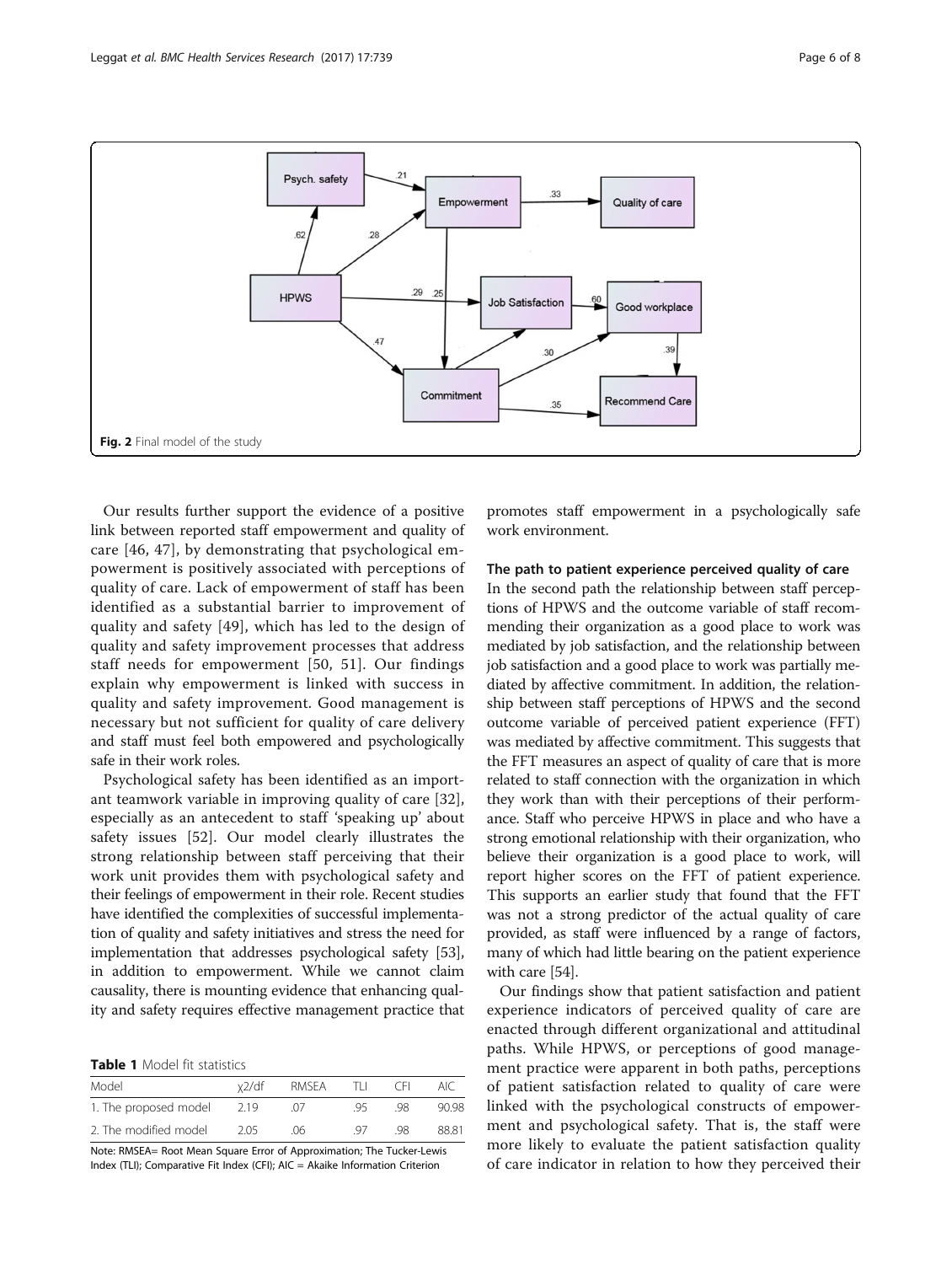<span id="page-5-0"></span>

Our results further support the evidence of a positive link between reported staff empowerment and quality of care [[46](#page-7-0), [47\]](#page-7-0), by demonstrating that psychological empowerment is positively associated with perceptions of quality of care. Lack of empowerment of staff has been identified as a substantial barrier to improvement of quality and safety [[49\]](#page-7-0), which has led to the design of quality and safety improvement processes that address staff needs for empowerment [[50, 51\]](#page-7-0). Our findings explain why empowerment is linked with success in quality and safety improvement. Good management is necessary but not sufficient for quality of care delivery and staff must feel both empowered and psychologically safe in their work roles.

Psychological safety has been identified as an important teamwork variable in improving quality of care [\[32](#page-7-0)], especially as an antecedent to staff 'speaking up' about safety issues [\[52](#page-7-0)]. Our model clearly illustrates the strong relationship between staff perceiving that their work unit provides them with psychological safety and their feelings of empowerment in their role. Recent studies have identified the complexities of successful implementation of quality and safety initiatives and stress the need for implementation that addresses psychological safety [[53](#page-7-0)], in addition to empowerment. While we cannot claim causality, there is mounting evidence that enhancing quality and safety requires effective management practice that

Table 1 Model fit statistics

| Model                 | $x^2/df$ | <b>RMSEA</b> |    | (⊢I |       |
|-----------------------|----------|--------------|----|-----|-------|
| 1. The proposed model | 2.19     | (1)          | 95 | 98  | 90.98 |
| 2. The modified model | 205      | 06           | 97 | 98  | 8881  |

Note: RMSEA= Root Mean Square Error of Approximation; The Tucker-Lewis Index (TLI); Comparative Fit Index (CFI); AIC = Akaike Information Criterion

promotes staff empowerment in a psychologically safe work environment.

#### The path to patient experience perceived quality of care

In the second path the relationship between staff perceptions of HPWS and the outcome variable of staff recommending their organization as a good place to work was mediated by job satisfaction, and the relationship between job satisfaction and a good place to work was partially mediated by affective commitment. In addition, the relationship between staff perceptions of HPWS and the second outcome variable of perceived patient experience (FFT) was mediated by affective commitment. This suggests that the FFT measures an aspect of quality of care that is more related to staff connection with the organization in which they work than with their perceptions of their performance. Staff who perceive HPWS in place and who have a strong emotional relationship with their organization, who believe their organization is a good place to work, will report higher scores on the FFT of patient experience. This supports an earlier study that found that the FFT was not a strong predictor of the actual quality of care provided, as staff were influenced by a range of factors, many of which had little bearing on the patient experience with care [\[54\]](#page-7-0).

Our findings show that patient satisfaction and patient experience indicators of perceived quality of care are enacted through different organizational and attitudinal paths. While HPWS, or perceptions of good management practice were apparent in both paths, perceptions of patient satisfaction related to quality of care were linked with the psychological constructs of empowerment and psychological safety. That is, the staff were more likely to evaluate the patient satisfaction quality of care indicator in relation to how they perceived their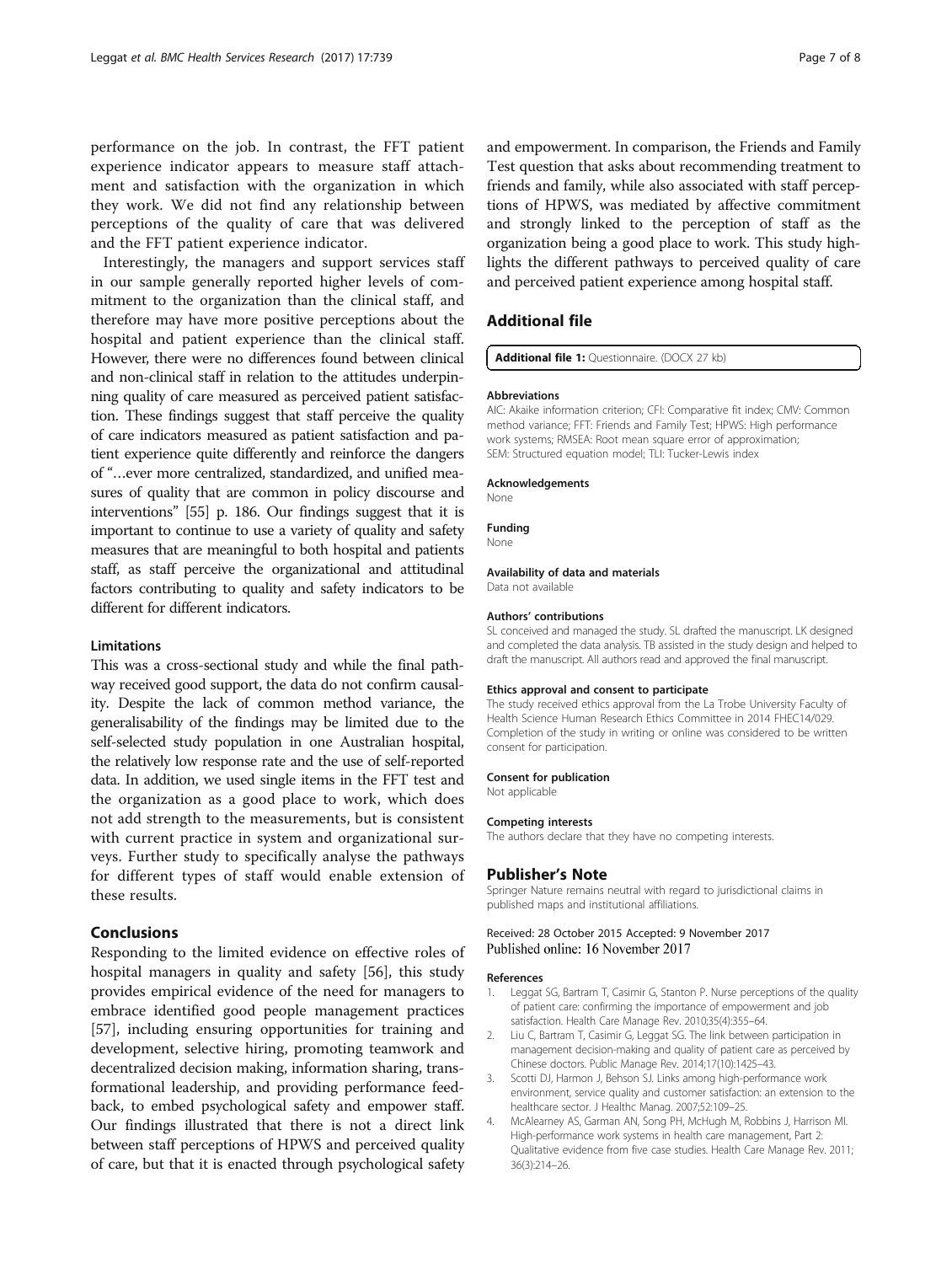<span id="page-6-0"></span>performance on the job. In contrast, the FFT patient experience indicator appears to measure staff attachment and satisfaction with the organization in which they work. We did not find any relationship between perceptions of the quality of care that was delivered and the FFT patient experience indicator.

Interestingly, the managers and support services staff in our sample generally reported higher levels of commitment to the organization than the clinical staff, and therefore may have more positive perceptions about the hospital and patient experience than the clinical staff. However, there were no differences found between clinical and non-clinical staff in relation to the attitudes underpinning quality of care measured as perceived patient satisfaction. These findings suggest that staff perceive the quality of care indicators measured as patient satisfaction and patient experience quite differently and reinforce the dangers of "…ever more centralized, standardized, and unified measures of quality that are common in policy discourse and interventions" [[55](#page-7-0)] p. 186. Our findings suggest that it is important to continue to use a variety of quality and safety measures that are meaningful to both hospital and patients staff, as staff perceive the organizational and attitudinal factors contributing to quality and safety indicators to be different for different indicators.

### Limitations

This was a cross-sectional study and while the final pathway received good support, the data do not confirm causality. Despite the lack of common method variance, the generalisability of the findings may be limited due to the self-selected study population in one Australian hospital, the relatively low response rate and the use of self-reported data. In addition, we used single items in the FFT test and the organization as a good place to work, which does not add strength to the measurements, but is consistent with current practice in system and organizational surveys. Further study to specifically analyse the pathways for different types of staff would enable extension of these results.

### Conclusions

Responding to the limited evidence on effective roles of hospital managers in quality and safety [\[56\]](#page-7-0), this study provides empirical evidence of the need for managers to embrace identified good people management practices [[57\]](#page-7-0), including ensuring opportunities for training and development, selective hiring, promoting teamwork and decentralized decision making, information sharing, transformational leadership, and providing performance feedback, to embed psychological safety and empower staff. Our findings illustrated that there is not a direct link between staff perceptions of HPWS and perceived quality of care, but that it is enacted through psychological safety

and empowerment. In comparison, the Friends and Family Test question that asks about recommending treatment to friends and family, while also associated with staff perceptions of HPWS, was mediated by affective commitment and strongly linked to the perception of staff as the organization being a good place to work. This study highlights the different pathways to perceived quality of care and perceived patient experience among hospital staff.

### Additional file

[Additional file 1:](dx.doi.org/10.1186/s12913-017-2718-x) Questionnaire. (DOCX 27 kb)

#### Abbreviations

AIC: Akaike information criterion; CFI: Comparative fit index; CMV: Common method variance; FFT: Friends and Family Test; HPWS: High performance work systems; RMSEA: Root mean square error of approximation; SEM: Structured equation model; TLI: Tucker-Lewis index

#### Acknowledgements

None

Funding

None

### Availability of data and materials

Data not available

#### Authors' contributions

SL conceived and managed the study. SL drafted the manuscript. LK designed and completed the data analysis. TB assisted in the study design and helped to draft the manuscript. All authors read and approved the final manuscript.

#### Ethics approval and consent to participate

The study received ethics approval from the La Trobe University Faculty of Health Science Human Research Ethics Committee in 2014 FHEC14/029. Completion of the study in writing or online was considered to be written consent for participation.

#### Consent for publication

Not applicable

#### Competing interests

The authors declare that they have no competing interests.

#### Publisher's Note

Springer Nature remains neutral with regard to jurisdictional claims in published maps and institutional affiliations.

#### Received: 28 October 2015 Accepted: 9 November 2017 Published online: 16 November 2017

#### References

- Leggat SG, Bartram T, Casimir G, Stanton P. Nurse perceptions of the quality of patient care: confirming the importance of empowerment and job satisfaction. Health Care Manage Rev. 2010;35(4):355–64.
- Liu C, Bartram T, Casimir G, Leggat SG. The link between participation in management decision-making and quality of patient care as perceived by Chinese doctors. Public Manage Rev. 2014;17(10):1425–43.
- 3. Scotti DJ, Harmon J, Behson SJ. Links among high-performance work environment, service quality and customer satisfaction: an extension to the healthcare sector. J Healthc Manag. 2007;52:109–25.
- 4. McAlearney AS, Garman AN, Song PH, McHugh M, Robbins J, Harrison MI. High-performance work systems in health care management, Part 2: Qualitative evidence from five case studies. Health Care Manage Rev. 2011; 36(3):214–26.